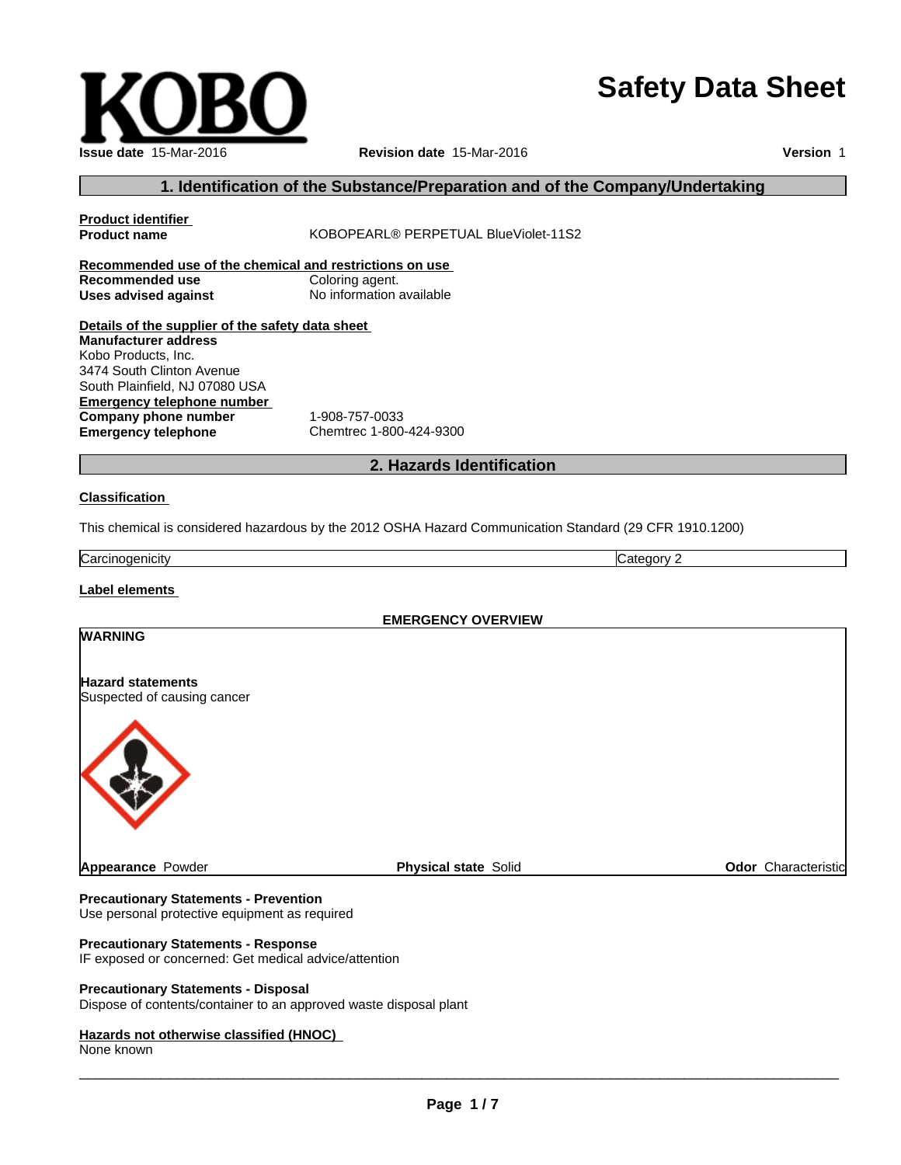# **Safety Data Sheet**

 $\overline{\phantom{a}}$  ,  $\overline{\phantom{a}}$  ,  $\overline{\phantom{a}}$  ,  $\overline{\phantom{a}}$  ,  $\overline{\phantom{a}}$  ,  $\overline{\phantom{a}}$  ,  $\overline{\phantom{a}}$  ,  $\overline{\phantom{a}}$  ,  $\overline{\phantom{a}}$  ,  $\overline{\phantom{a}}$  ,  $\overline{\phantom{a}}$  ,  $\overline{\phantom{a}}$  ,  $\overline{\phantom{a}}$  ,  $\overline{\phantom{a}}$  ,  $\overline{\phantom{a}}$  ,  $\overline{\phantom{a}}$ 

# **1. Identification of the Substance/Preparation and of the Company/Undertaking**

# **Product identifier KOBOPEARL® PERPETUAL BlueViolet-11S2 Recommended use of the chemical and restrictions on use Recommended use** Coloring agent. **Uses advised against** No information available **Details of the supplier of the safety data sheet Emergency telephone number Company phone number** 1-908-757-0033 **Emergency telephone** Chemtrec 1-800-424-9300 **2. Hazards Identification Classification Manufacturer address** Kobo Products, Inc. 3474 South Clinton Avenue South Plainfield, NJ 07080 USA

This chemical is considered hazardous by the 2012 OSHA Hazard Communication Standard (29 CFR 1910.1200)

**Carcinogenicity** Category 2

**Label elements**

**EMERGENCY OVERVIEW**

## **WARNING**

**Hazard statements** Suspected of causing cancer



**Precautionary Statements - Prevention** Use personal protective equipment as required

## **Precautionary Statements - Response**

IF exposed or concerned: Get medical advice/attention

#### **Precautionary Statements - Disposal**

Dispose of contents/container to an approved waste disposal plant

# **Hazards not otherwise classified (HNOC)**

None known

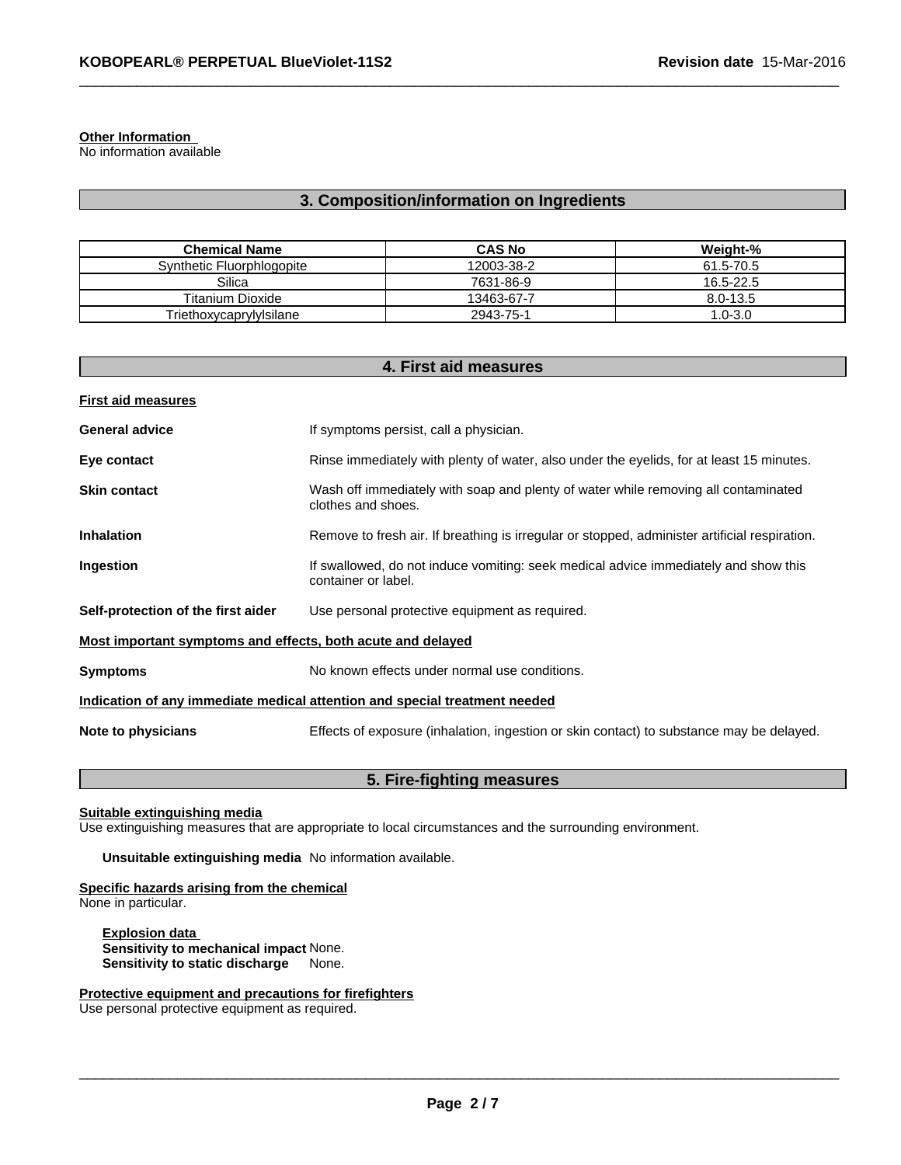# **Other Information**

No information available

# **3. Composition/information on Ingredients**

| <b>Chemical Name</b>      | <b>CAS No</b> | Weight-%     |
|---------------------------|---------------|--------------|
| Synthetic Fluorphlogopite | 12003-38-2    | 61.5-70.5    |
| Silica                    | 7631-86-9     | 16.5-22.5    |
| <b>Titanium Dioxide</b>   | 13463-67-7    | $8.0 - 13.5$ |
| Triethoxycaprylylsilane   | 2943-75-1     | 1.0-3.0      |

| <b>First aid measures</b>                                                                                                       |  |
|---------------------------------------------------------------------------------------------------------------------------------|--|
|                                                                                                                                 |  |
| <b>General advice</b><br>If symptoms persist, call a physician.                                                                 |  |
| Rinse immediately with plenty of water, also under the eyelids, for at least 15 minutes.<br>Eye contact                         |  |
| Wash off immediately with soap and plenty of water while removing all contaminated<br><b>Skin contact</b><br>clothes and shoes. |  |
| Remove to fresh air. If breathing is irregular or stopped, administer artificial respiration.<br><b>Inhalation</b>              |  |
| If swallowed, do not induce vomiting: seek medical advice immediately and show this<br>Ingestion<br>container or label.         |  |
| Self-protection of the first aider<br>Use personal protective equipment as required.                                            |  |
| Most important symptoms and effects, both acute and delayed                                                                     |  |
| No known effects under normal use conditions.<br><b>Symptoms</b>                                                                |  |
| Indication of any immediate medical attention and special treatment needed                                                      |  |
| Note to physicians<br>Effects of exposure (inhalation, ingestion or skin contact) to substance may be delayed.                  |  |

# **5. Fire-fighting measures**

**Suitable extinguishing media**

Use extinguishing measures that are appropriate to local circumstances and the surrounding environment.

**Unsuitable extinguishing media** No information available.

# **Specific hazards arising from the chemical** None in particular.

**Explosion data Sensitivity to mechanical impact** None. **Sensitivity to static discharge** None.

**Protective equipment and precautions for firefighters**

Use personal protective equipment as required.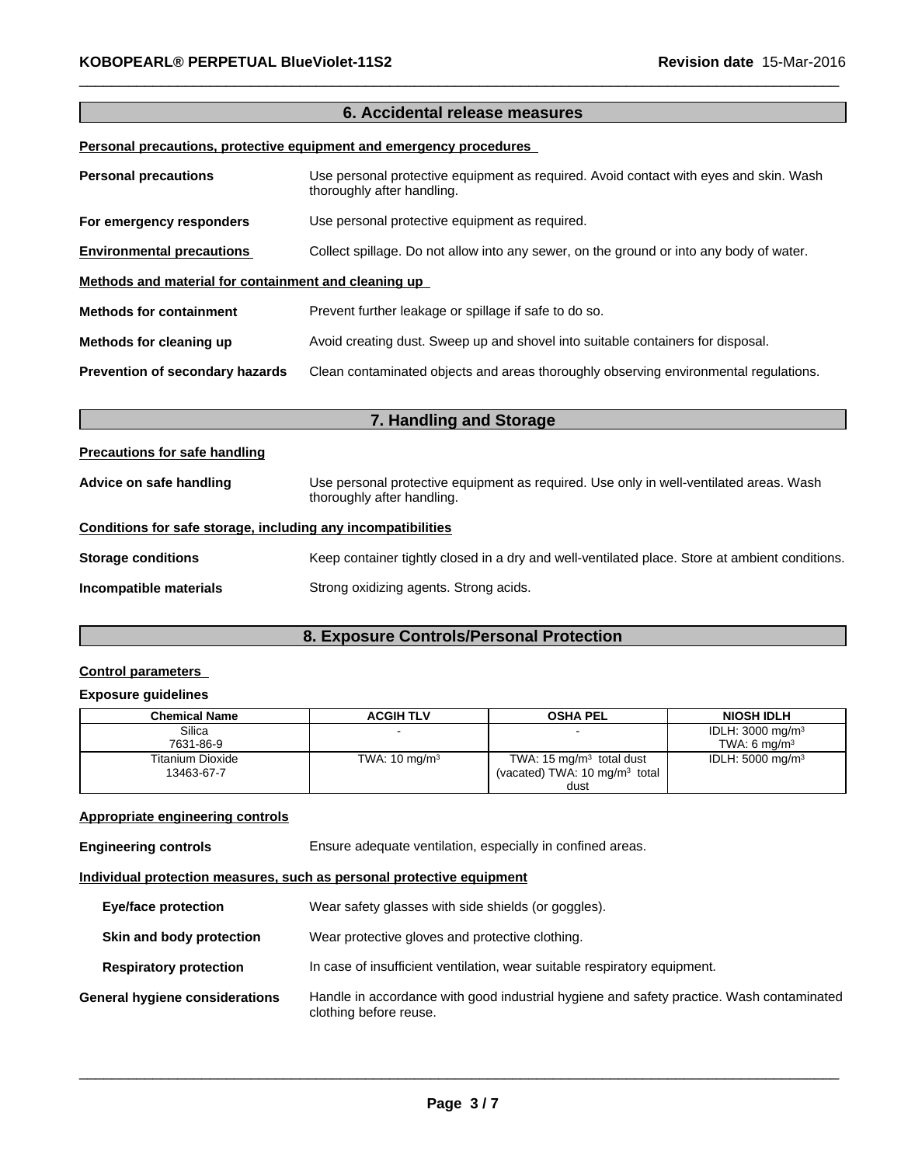# **6. Accidental release measures Personal precautions, protective equipment and emergency procedures**

| <b>Personal precautions</b>                          | Use personal protective equipment as required. Avoid contact with eyes and skin. Wash<br>thoroughly after handling. |
|------------------------------------------------------|---------------------------------------------------------------------------------------------------------------------|
| For emergency responders                             | Use personal protective equipment as required.                                                                      |
| <b>Environmental precautions</b>                     | Collect spillage. Do not allow into any sewer, on the ground or into any body of water.                             |
| Methods and material for containment and cleaning up |                                                                                                                     |
| <b>Methods for containment</b>                       | Prevent further leakage or spillage if safe to do so.                                                               |
| Methods for cleaning up                              | Avoid creating dust. Sweep up and shovel into suitable containers for disposal.                                     |
| Prevention of secondary hazards                      | Clean contaminated objects and areas thoroughly observing environmental regulations.                                |

| 7. Handling and Storage                                      |                                                                                                                      |  |
|--------------------------------------------------------------|----------------------------------------------------------------------------------------------------------------------|--|
| <b>Precautions for safe handling</b>                         |                                                                                                                      |  |
| Advice on safe handling                                      | Use personal protective equipment as required. Use only in well-ventilated areas. Wash<br>thoroughly after handling. |  |
| Conditions for safe storage, including any incompatibilities |                                                                                                                      |  |
| <b>Storage conditions</b>                                    | Keep container tightly closed in a dry and well-ventilated place. Store at ambient conditions.                       |  |
| Incompatible materials                                       | Strong oxidizing agents. Strong acids.                                                                               |  |

# **8. Exposure Controls/Personal Protection**

# **Control parameters**

# **Exposure guidelines**

| <b>Chemical Name</b> | <b>ACGIH TLV</b>         | <b>OSHA PEL</b>                          | <b>NIOSH IDLH</b>           |
|----------------------|--------------------------|------------------------------------------|-----------------------------|
| Silica               |                          |                                          | IDLH: $3000 \text{ mg/m}^3$ |
| 7631-86-9            |                          |                                          | TWA: 6 $ma/m3$              |
| Titanium Dioxide     | TWA: $10 \text{ mg/m}^3$ | TWA: 15 $mg/m3$ total dust               | IDLH: $5000 \text{ mg/m}^3$ |
| 13463-67-7           |                          | (vacated) TWA: $10 \text{ mg/m}^3$ total |                             |
|                      |                          | dust                                     |                             |

# **Appropriate engineering controls**

**Engineering controls** Ensure adequate ventilation, especially in confined areas.

# **Individual protection measures, such as personal protective equipment**

| <b>Eye/face protection</b>     | Wear safety glasses with side shields (or goggles).                                                                |
|--------------------------------|--------------------------------------------------------------------------------------------------------------------|
| Skin and body protection       | Wear protective gloves and protective clothing.                                                                    |
| <b>Respiratory protection</b>  | In case of insufficient ventilation, wear suitable respiratory equipment.                                          |
| General hygiene considerations | Handle in accordance with good industrial hygiene and safety practice. Wash contaminated<br>clothing before reuse. |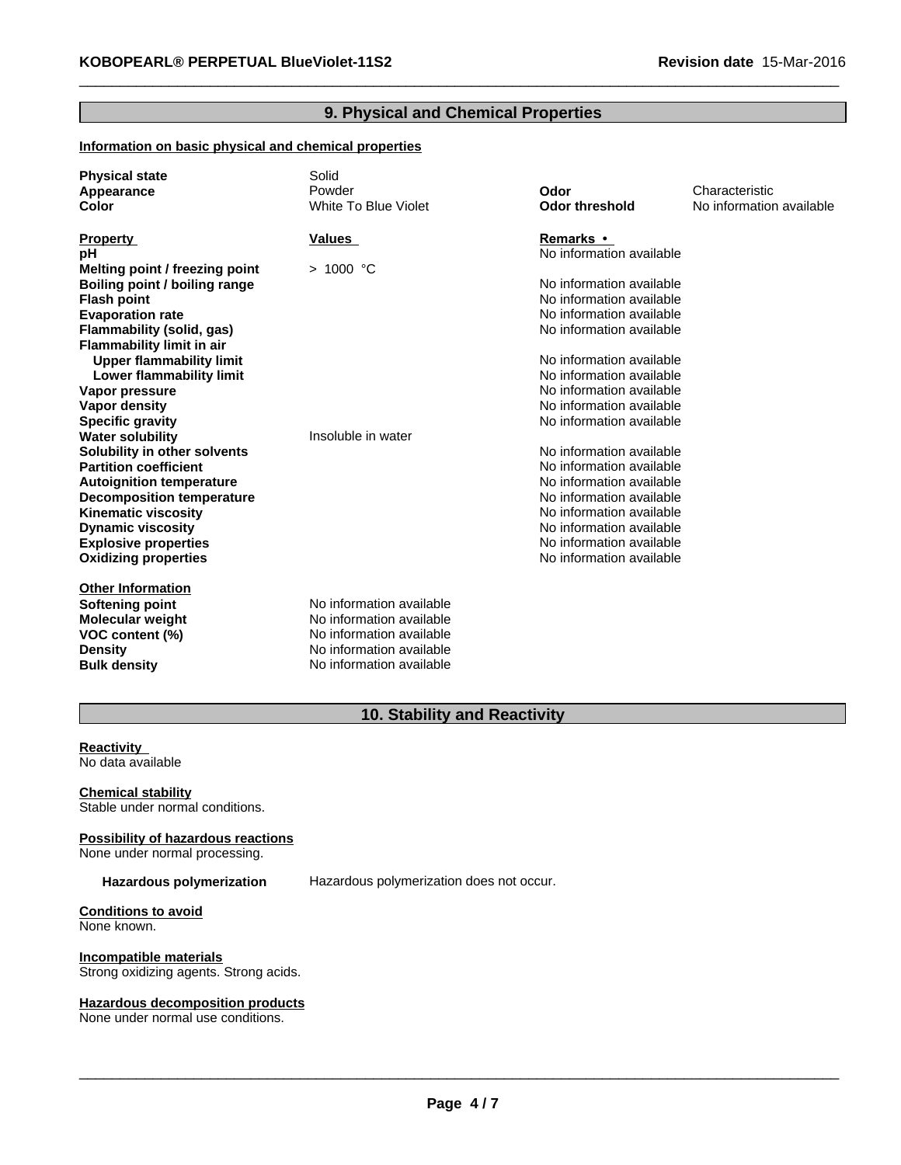# **9. Physical and Chemical Properties**

# **Information on basic physical and chemical properties**

| <b>Physical state</b>            | Solid                    |                          |                          |
|----------------------------------|--------------------------|--------------------------|--------------------------|
| Appearance                       | Powder                   | Odor                     | Characteristic           |
| Color                            | White To Blue Violet     | <b>Odor threshold</b>    | No information available |
|                                  |                          |                          |                          |
| <b>Property</b>                  | Values                   | Remarks •                |                          |
| рH                               |                          | No information available |                          |
| Melting point / freezing point   | $>1000$ °C               |                          |                          |
| Boiling point / boiling range    |                          | No information available |                          |
| <b>Flash point</b>               |                          | No information available |                          |
| <b>Evaporation rate</b>          |                          | No information available |                          |
| Flammability (solid, gas)        |                          | No information available |                          |
| <b>Flammability limit in air</b> |                          |                          |                          |
| <b>Upper flammability limit</b>  |                          | No information available |                          |
| Lower flammability limit         |                          | No information available |                          |
| Vapor pressure                   |                          | No information available |                          |
| Vapor density                    |                          | No information available |                          |
| <b>Specific gravity</b>          |                          | No information available |                          |
| <b>Water solubility</b>          | Insoluble in water       |                          |                          |
| Solubility in other solvents     |                          | No information available |                          |
| <b>Partition coefficient</b>     |                          | No information available |                          |
| <b>Autoignition temperature</b>  |                          | No information available |                          |
| <b>Decomposition temperature</b> |                          | No information available |                          |
| <b>Kinematic viscosity</b>       |                          | No information available |                          |
| <b>Dynamic viscosity</b>         |                          | No information available |                          |
| <b>Explosive properties</b>      |                          | No information available |                          |
| <b>Oxidizing properties</b>      |                          | No information available |                          |
|                                  |                          |                          |                          |
| <b>Other Information</b>         |                          |                          |                          |
| Softening point                  | No information available |                          |                          |
| <b>Molecular weight</b>          | No information available |                          |                          |
| VOC content (%)                  | No information available |                          |                          |
| <b>Density</b>                   | No information available |                          |                          |
| <b>Bulk density</b>              | No information available |                          |                          |
|                                  |                          |                          |                          |

# **10. Stability and Reactivity**

**Reactivity**<br>No data available<br>Chemical stability No data available

Stable under normal conditions.

## **Possibility of hazardous reactions**

None under normal processing.

**Hazardous polymerization** Hazardous polymerization does not occur.

**Conditions to avoid** None known.

**Incompatible materials** Strong oxidizing agents. Strong acids.

#### **Hazardous decomposition products**

None under normal use conditions.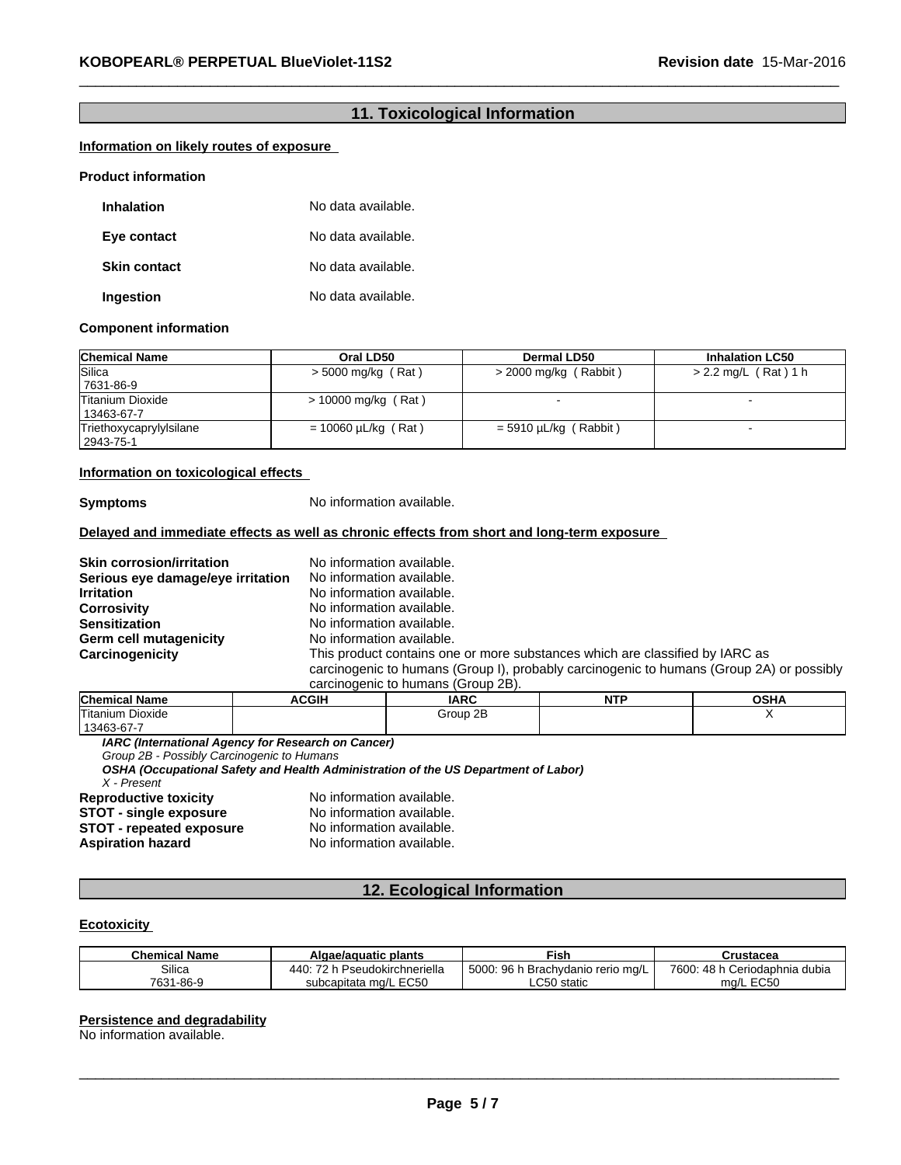# **11. Toxicological Information**

# **Information on likely routes of exposure**

#### **Product information**

| <b>Inhalation</b>   | No data available. |
|---------------------|--------------------|
| Eye contact         | No data available. |
| <b>Skin contact</b> | No data available. |
| Ingestion           | No data available. |

#### **Component information**

| <b>Chemical Name</b>    | Oral LD50                | <b>Dermal LD50</b>      | <b>Inhalation LC50</b> |
|-------------------------|--------------------------|-------------------------|------------------------|
| Silica                  | > 5000 mg/kg (Rat)       | $>$ 2000 mg/kg (Rabbit) | $> 2.2$ mg/L (Rat) 1 h |
| 7631-86-9               |                          |                         |                        |
| Titanium Dioxide        | $> 10000$ mg/kg (Rat)    |                         |                        |
| 13463-67-7              |                          |                         |                        |
| Triethoxycaprylylsilane | $= 10060 \mu L/kg$ (Rat) | $=$ 5910 µL/kg (Rabbit) |                        |
| 2943-75-1               |                          |                         |                        |

#### **Information on toxicological effects**

**Symptoms** No information available.

# **Delayed and immediate effects as well as chronic effects from short and long-term exposure**

**Skin corrosion/irritation** No information available. **Serious eye damage/eye irritation** No information available. **Irritation** No information available. **Corrosivity Corrosivity No information available.**<br> **No information available.** No information available.<br>No information available. **Germ cell mutagenicity<br>Carcinogenicity** This product contains one or more substances which are classified by IARC as carcinogenic to humans (Group I), probably carcinogenic to humans (Group 2A) or possibly carcinogenic to humans (Group 2B).

| <b>Chemical Name</b> | ACGIH | <b>IARC</b>    | .<br>N<br>. | <b>OCU</b><br>יוסט |
|----------------------|-------|----------------|-------------|--------------------|
| Titanium Dioxide     |       | റ⊏<br>Group 2B |             | . .                |
| $13463 - 67 - 1$     |       |                |             |                    |

*IARC (International Agency for Research on Cancer)*

*Group 2B - Possibly Carcinogenic to Humans*

*OSHA (Occupational Safety and Health Administration of the US Department of Labor)*

*X - Present*

**STOT** - **single exposure** No information available.<br>**STOT** - **repeated exposure** No information available. **STOT** - repeated exposure<br>Aspiration hazard

**Reproductive toxicity** No information available.<br>**STOT - single exposure** No information available. **Aspiration hazard** No information available.

# **12. Ecological Information**

# **Ecotoxicity**

| <b>Chemical Name</b> | Algae/aguatic plants                                     | <b>Fish</b>                                      | Crustacea                             |
|----------------------|----------------------------------------------------------|--------------------------------------------------|---------------------------------------|
| Silica               | $\rightarrow$<br>440 <sup>-</sup><br>Pseudokirchneriella | 5000<br>7. 9R h<br>ו Brachvdanio rerio mɑ/L<br>. | 7600:<br>48 h<br>. Ceriodaphnia dubia |
| 7631-86-9            | subcapitata mg/L EC50                                    | $\mathsf{L}$ C50 static                          | ma/L EC50                             |

#### **Persistence and degradability**

No information available.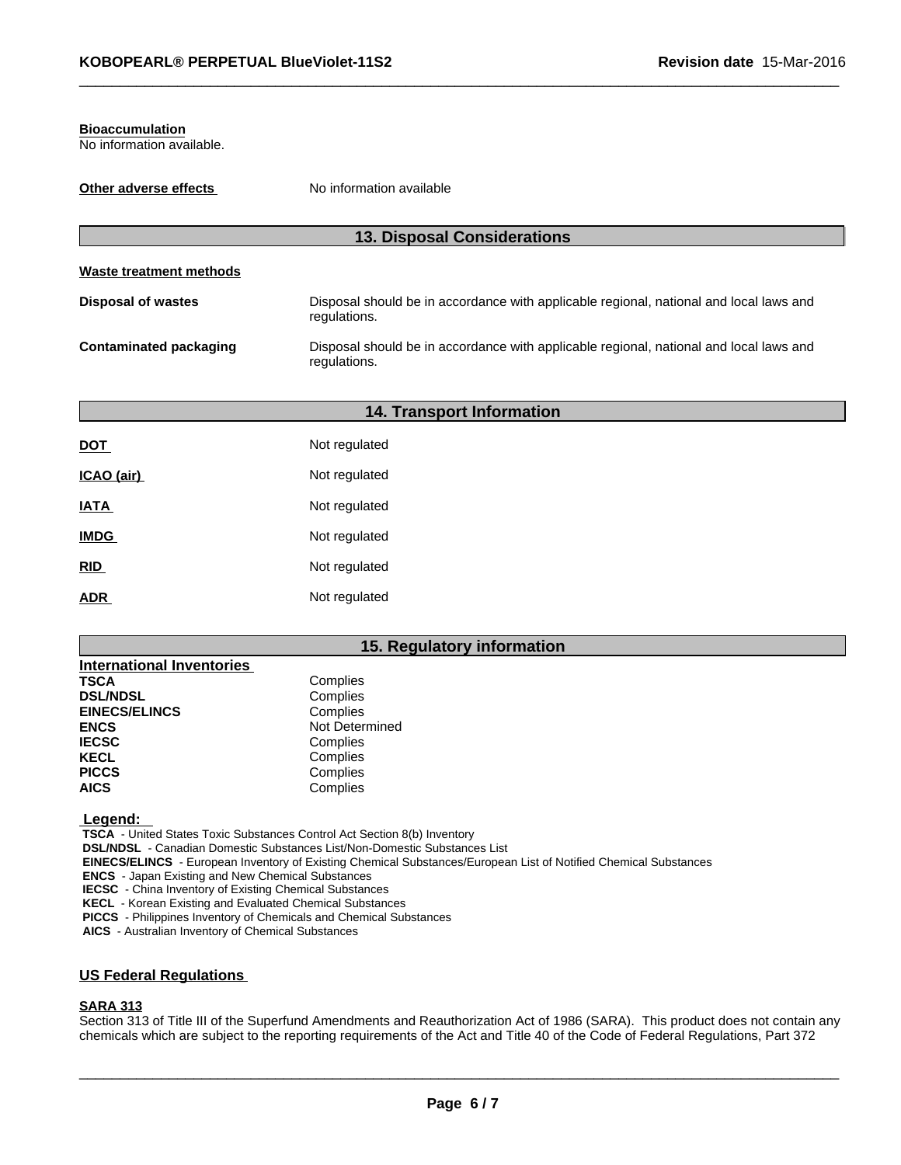#### **Bioaccumulation**

No information available.

| Other adverse effects         | No information available                                                                               |  |  |
|-------------------------------|--------------------------------------------------------------------------------------------------------|--|--|
|                               | <b>13. Disposal Considerations</b>                                                                     |  |  |
|                               |                                                                                                        |  |  |
| Waste treatment methods       |                                                                                                        |  |  |
| <b>Disposal of wastes</b>     | Disposal should be in accordance with applicable regional, national and local laws and<br>regulations. |  |  |
| <b>Contaminated packaging</b> | Disposal should be in accordance with applicable regional, national and local laws and<br>regulations. |  |  |

|             | <b>14. Transport Information</b> |  |
|-------------|----------------------------------|--|
| <b>DOT</b>  | Not regulated                    |  |
| ICAO (air)  | Not regulated                    |  |
| <b>IATA</b> | Not regulated                    |  |
| <b>IMDG</b> | Not regulated                    |  |
| RID         | Not regulated                    |  |
| <b>ADR</b>  | Not regulated                    |  |

# **15. Regulatory information**

| <b>International Inventories</b> |                |
|----------------------------------|----------------|
| <b>TSCA</b>                      | Complies       |
| <b>DSL/NDSL</b>                  | Complies       |
| <b>EINECS/ELINCS</b>             | Complies       |
| <b>ENCS</b>                      | Not Determined |
| <b>IECSC</b>                     | Complies       |
| <b>KECL</b>                      | Complies       |
| <b>PICCS</b>                     | Complies       |
| <b>AICS</b>                      | Complies       |

 **Legend:** 

 **TSCA** - United States Toxic Substances Control Act Section 8(b) Inventory

 **DSL/NDSL** - Canadian Domestic Substances List/Non-Domestic Substances List

 **EINECS/ELINCS** - European Inventory of Existing Chemical Substances/European List of Notified Chemical Substances

 **ENCS** - Japan Existing and New Chemical Substances

 **IECSC** - China Inventory of Existing Chemical Substances

 **KECL** - Korean Existing and Evaluated Chemical Substances

 **PICCS** - Philippines Inventory of Chemicals and Chemical Substances

 **AICS** - Australian Inventory of Chemical Substances

# **US Federal Regulations**

# **SARA 313**

Section 313 of Title III of the Superfund Amendments and Reauthorization Act of 1986 (SARA). This product does not contain any chemicals which are subject to the reporting requirements of the Act and Title 40 of the Code of Federal Regulations, Part 372